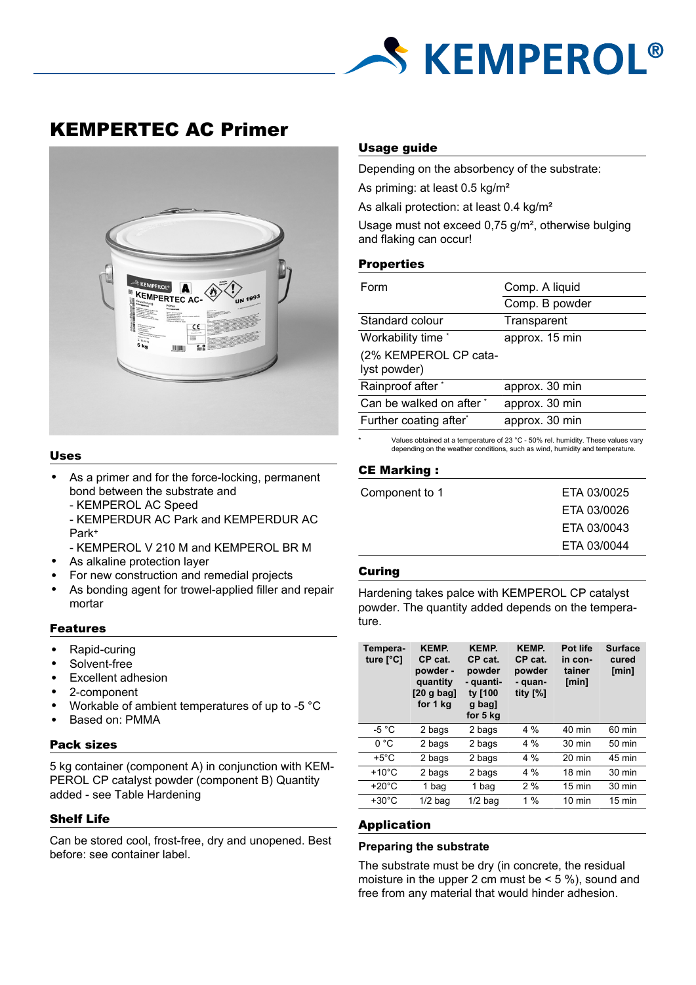

KEMPERTEC AC Primer



## Uses

- As a primer and for the force-locking, permanent bond between the substrate and
	- KEMPEROL AC Speed
	- KEMPERDUR AC Park and KEMPERDUR AC Park<sup>+</sup>
	- KEMPEROL V 210 M and KEMPEROL BR M
- As alkaline protection layer
- For new construction and remedial projects
- As bonding agent for trowel-applied filler and repair mortar

#### Features

- Rapid-curing
- Solvent-free
- Excellent adhesion
- 2-component
- Workable of ambient temperatures of up to -5 °C
- Based on: PMMA

#### Pack sizes

5 kg container (component A) in conjunction with KEM-PEROL CP catalyst powder (component B) Quantity added - see Table Hardening

# Shelf Life

Can be stored cool, frost-free, dry and unopened. Best before: see container label.

# Usage guide

Depending on the absorbency of the substrate:

As priming: at least 0.5 kg/m²

As alkali protection: at least 0.4 kg/m<sup>2</sup>

Usage must not exceed 0,75 g/m², otherwise bulging and flaking can occur!

# **Properties**

| Form                                  | Comp. A liquid<br>Comp. B powder |  |  |
|---------------------------------------|----------------------------------|--|--|
|                                       |                                  |  |  |
| Standard colour                       | Transparent                      |  |  |
| Workability time *                    | approx. 15 min                   |  |  |
| (2% KEMPEROL CP cata-<br>lyst powder) |                                  |  |  |
| Rainproof after *                     | approx. 30 min                   |  |  |
| Can be walked on after *              | approx. 30 min                   |  |  |
| Further coating after*                | approx. 30 min                   |  |  |
|                                       |                                  |  |  |

Values obtained at a temperature of 23 °C - 50% rel. humidity. These values vary depending on the weather conditions, such as wind, humidity and temperature.

## CE Marking :

| Component to 1 | ETA 03/0025                |
|----------------|----------------------------|
|                | ETA 03/0026<br>ETA 03/0043 |
|                | ETA 03/0044                |

### **Curing**

Hardening takes palce with KEMPEROL CP catalyst powder. The quantity added depends on the temperature.

| Tempera-<br>ture $[^{\circ}C]$ | <b>KEMP</b><br>CP cat.<br>powder -<br>quantity<br>$[20 g$ bag]<br>for 1 kg | <b>KEMP.</b><br>CP cat.<br>powder<br>- quanti-<br>ty [100<br>g bag]<br>for 5 kg | <b>KEMP.</b><br>CP cat.<br>powder<br>- quan-<br>tity $[%]$ | Pot life<br>in con-<br>tainer<br>[min] | <b>Surface</b><br>cured<br>[min] |
|--------------------------------|----------------------------------------------------------------------------|---------------------------------------------------------------------------------|------------------------------------------------------------|----------------------------------------|----------------------------------|
| -5 $^{\circ}$ C                | 2 bags                                                                     | 2 bags                                                                          | $4\%$                                                      | 40 min                                 | 60 min                           |
| 0°C                            | 2 bags                                                                     | 2 bags                                                                          | $4\%$                                                      | $30 \text{ min}$                       | 50 min                           |
| $+5^{\circ}$ C                 | 2 bags                                                                     | 2 bags                                                                          | $4\%$                                                      | $20 \text{ min}$                       | 45 min                           |
| $+10^{\circ}$ C                | 2 bags                                                                     | 2 bags                                                                          | $4\%$                                                      | 18 min                                 | $30 \text{ min}$                 |
| $+20^{\circ}$ C                | 1 bag                                                                      | 1 bag                                                                           | 2%                                                         | $15 \text{ min}$                       | $30 \text{ min}$                 |
| $+30^{\circ}$ C                | $1/2$ bag                                                                  | $1/2$ bag                                                                       | 1%                                                         | $10 \text{ min}$                       | $15 \text{ min}$                 |

### Application

## **Preparing the substrate**

The substrate must be dry (in concrete, the residual moisture in the upper 2 cm must be  $\leq$  5 %), sound and free from any material that would hinder adhesion.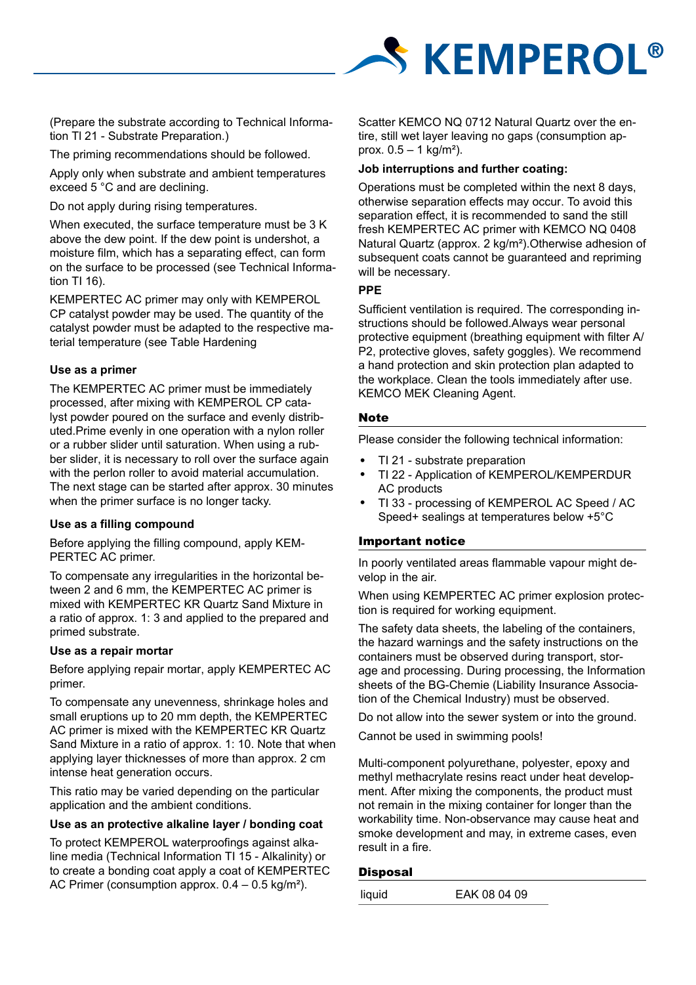

(Prepare the substrate according to Technical Information Tl 21 - Substrate Preparation.)

The priming recommendations should be followed.

Apply only when substrate and ambient temperatures exceed 5 °C and are declining.

Do not apply during rising temperatures.

When executed, the surface temperature must be 3 K above the dew point. If the dew point is undershot, a moisture film, which has a separating effect, can form on the surface to be processed (see Technical Information TI 16).

KEMPERTEC AC primer may only with KEMPEROL CP catalyst powder may be used. The quantity of the catalyst powder must be adapted to the respective material temperature (see Table Hardening

# **Use as a primer**

The KEMPERTEC AC primer must be immediately processed, after mixing with KEMPEROL CP catalyst powder poured on the surface and evenly distributed.Prime evenly in one operation with a nylon roller or a rubber slider until saturation. When using a rubber slider, it is necessary to roll over the surface again with the perlon roller to avoid material accumulation. The next stage can be started after approx. 30 minutes when the primer surface is no longer tacky.

#### **Use as a filling compound**

Before applying the filling compound, apply KEM-PERTEC AC primer.

To compensate any irregularities in the horizontal between 2 and 6 mm, the KEMPERTEC AC primer is mixed with KEMPERTEC KR Quartz Sand Mixture in a ratio of approx. 1: 3 and applied to the prepared and primed substrate.

#### **Use as a repair mortar**

Before applying repair mortar, apply KEMPERTEC AC primer.

To compensate any unevenness, shrinkage holes and small eruptions up to 20 mm depth, the KEMPERTEC AC primer is mixed with the KEMPERTEC KR Quartz Sand Mixture in a ratio of approx. 1: 10. Note that when applying layer thicknesses of more than approx. 2 cm intense heat generation occurs.

This ratio may be varied depending on the particular application and the ambient conditions.

## **Use as an protective alkaline layer / bonding coat**

To protect KEMPEROL waterproofings against alkaline media (Technical Information TI 15 - Alkalinity) or to create a bonding coat apply a coat of KEMPERTEC AC Primer (consumption approx. 0.4 – 0.5 kg/m²).

Scatter KEMCO NQ 0712 Natural Quartz over the entire, still wet layer leaving no gaps (consumption approx.  $0.5 - 1$  kg/m<sup>2</sup>).

## **Job interruptions and further coating:**

Operations must be completed within the next 8 days, otherwise separation effects may occur. To avoid this separation effect, it is recommended to sand the still fresh KEMPERTEC AC primer with KEMCO NQ 0408 Natural Quartz (approx. 2 kg/m²).Otherwise adhesion of subsequent coats cannot be guaranteed and repriming will be necessary.

## **PPE**

Sufficient ventilation is required. The corresponding instructions should be followed.Always wear personal protective equipment (breathing equipment with filter A/ P2, protective gloves, safety goggles). We recommend a hand protection and skin protection plan adapted to the workplace. Clean the tools immediately after use. KEMCO MEK Cleaning Agent.

# **Note**

Please consider the following technical information:

- TI 21 substrate preparation
- TI 22 Application of KEMPEROL/KEMPERDUR AC products
- TI 33 processing of KEMPEROL AC Speed / AC Speed+ sealings at temperatures below +5°C

# Important notice

In poorly ventilated areas flammable vapour might develop in the air.

When using KEMPERTEC AC primer explosion protection is required for working equipment.

The safety data sheets, the labeling of the containers, the hazard warnings and the safety instructions on the containers must be observed during transport, storage and processing. During processing, the Information sheets of the BG-Chemie (Liability Insurance Association of the Chemical Industry) must be observed.

Do not allow into the sewer system or into the ground.

Cannot be used in swimming pools!

Multi-component polyurethane, polyester, epoxy and methyl methacrylate resins react under heat development. After mixing the components, the product must not remain in the mixing container for longer than the workability time. Non-observance may cause heat and smoke development and may, in extreme cases, even result in a fire.

## Disposal

liquid EAK 08 04 09